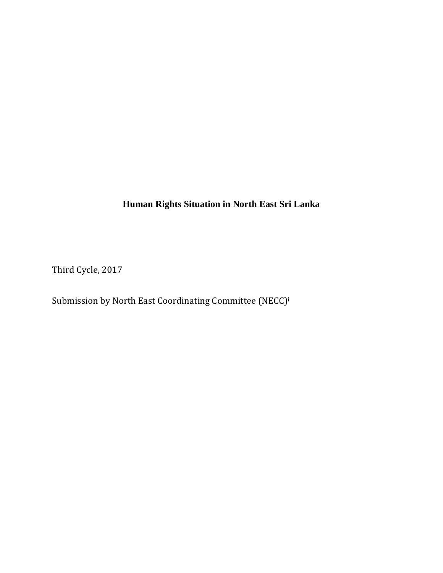**Human Rights Situation in North East Sri Lanka** 

Third Cycle, 2017

Submission by North East Coordinating Committee (NECC)<sup>i</sup>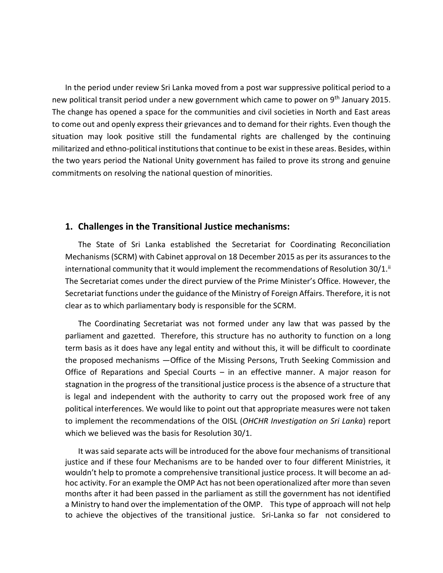In the period under review Sri Lanka moved from a post war suppressive political period to a new political transit period under a new government which came to power on 9<sup>th</sup> January 2015. The change has opened a space for the communities and civil societies in North and East areas to come out and openly express their grievances and to demand for their rights. Even though the situation may look positive still the fundamental rights are challenged by the continuing militarized and ethno-political institutions that continue to be exist in these areas. Besides, within the two years period the National Unity government has failed to prove its strong and genuine commitments on resolving the national question of minorities.

### **1. Challenges in the Transitional Justice mechanisms:**

The State of Sri Lanka established the Secretariat for Coordinating Reconciliation Mechanisms (SCRM) with Cabinet approval on 18 December 2015 as per its assurances to the international community that it would implement the recommendations of Resolution 30/1. $^{\text{ii}}$ The Secretariat comes under the direct purview of the Prime Minister's Office. However, the Secretariat functions under the guidance of the Ministry of Foreign Affairs. Therefore, it is not clear as to which parliamentary body is responsible for the SCRM.

The Coordinating Secretariat was not formed under any law that was passed by the parliament and gazetted. Therefore, this structure has no authority to function on a long term basis as it does have any legal entity and without this, it will be difficult to coordinate the proposed mechanisms —Office of the Missing Persons, Truth Seeking Commission and Office of Reparations and Special Courts – in an effective manner. A major reason for stagnation in the progress of the transitional justice process is the absence of a structure that is legal and independent with the authority to carry out the proposed work free of any political interferences. We would like to point out that appropriate measures were not taken to implement the recommendations of the OISL (*OHCHR Investigation on Sri Lanka*) report which we believed was the basis for Resolution 30/1.

It was said separate acts will be introduced for the above four mechanisms of transitional justice and if these four Mechanisms are to be handed over to four different Ministries, it wouldn't help to promote a comprehensive transitional justice process. It will become an adhoc activity. For an example the OMP Act has not been operationalized after more than seven months after it had been passed in the parliament as still the government has not identified a Ministry to hand over the implementation of the OMP. This type of approach will not help to achieve the objectives of the transitional justice. Sri-Lanka so far not considered to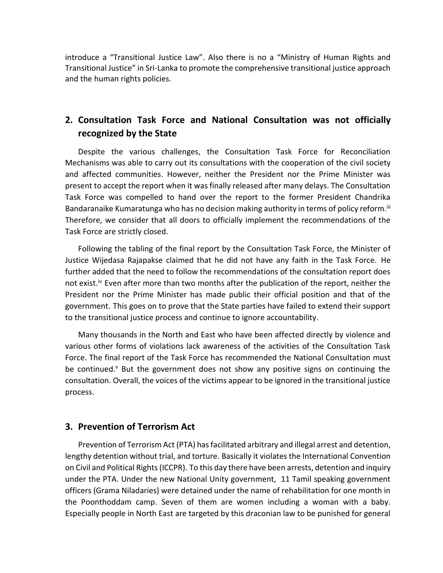introduce a "Transitional Justice Law". Also there is no a "Ministry of Human Rights and Transitional Justice" in Sri-Lanka to promote the comprehensive transitional justice approach and the human rights policies.

## **2. Consultation Task Force and National Consultation was not officially recognized by the State**

Despite the various challenges, the Consultation Task Force for Reconciliation Mechanisms was able to carry out its consultations with the cooperation of the civil society and affected communities. However, neither the President nor the Prime Minister was present to accept the report when it was finally released after many delays. The Consultation Task Force was compelled to hand over the report to the former President Chandrika Bandaranaike Kumaratunga who has no decision making authority in terms of policy reform.<sup>iii</sup> Therefore, we consider that all doors to officially implement the recommendations of the Task Force are strictly closed.

Following the tabling of the final report by the Consultation Task Force, the Minister of Justice Wijedasa Rajapakse claimed that he did not have any faith in the Task Force. He further added that the need to follow the recommendations of the consultation report does not exist.<sup>iv</sup> Even after more than two months after the publication of the report, neither the President nor the Prime Minister has made public their official position and that of the government. This goes on to prove that the State parties have failed to extend their support to the transitional justice process and continue to ignore accountability.

Many thousands in the North and East who have been affected directly by violence and various other forms of violations lack awareness of the activities of the Consultation Task Force. The final report of the Task Force has recommended the National Consultation must be continued.<sup>v</sup> But the government does not show any positive signs on continuing the consultation. Overall, the voices of the victims appear to be ignored in the transitional justice process.

### **3. Prevention of Terrorism Act**

Prevention of Terrorism Act (PTA) has facilitated arbitrary and illegal arrest and detention, lengthy detention without trial, and torture. Basically it violates the International Convention on Civil and Political Rights(ICCPR). To this day there have been arrests, detention and inquiry under the PTA. Under the new National Unity government, 11 Tamil speaking government officers (Grama Niladaries) were detained under the name of rehabilitation for one month in the Poonthoddam camp. Seven of them are women including a woman with a baby. Especially people in North East are targeted by this draconian law to be punished for general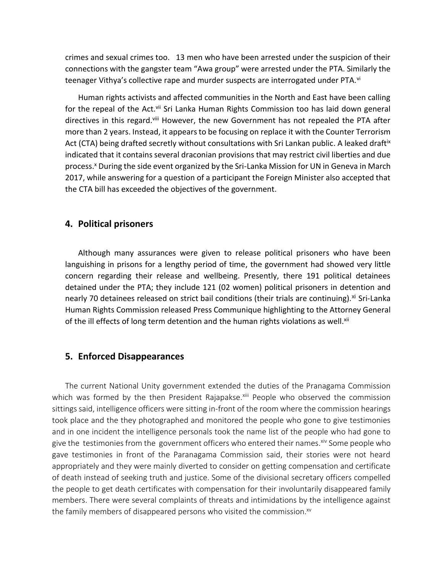crimes and sexual crimes too. 13 men who have been arrested under the suspicion of their connections with the gangster team "Awa group" were arrested under the PTA. Similarly the teenager Vithya's collective rape and murder suspects are interrogated under PTA.<sup>vi</sup>

Human rights activists and affected communities in the North and East have been calling for the repeal of the Act.<sup>vii</sup> Sri Lanka Human Rights Commission too has laid down general directives in this regard.<sup>viii</sup> However, the new Government has not repealed the PTA after more than 2 years. Instead, it appears to be focusing on replace it with the Counter Terrorism Act (CTA) being drafted secretly without consultations with Sri Lankan public. A leaked draft<sup>ix</sup> indicated that it contains several draconian provisions that may restrict civil liberties and due process.<sup>x</sup> During the side event organized by the Sri-Lanka Mission for UN in Geneva in March 2017, while answering for a question of a participant the Foreign Minister also accepted that the CTA bill has exceeded the objectives of the government.

### **4. Political prisoners**

Although many assurances were given to release political prisoners who have been languishing in prisons for a lengthy period of time, the government had showed very little concern regarding their release and wellbeing. Presently, there 191 political detainees detained under the PTA; they include 121 (02 women) political prisoners in detention and nearly 70 detainees released on strict bail conditions (their trials are continuing).<sup>xi</sup> Sri-Lanka Human Rights Commission released Press Communique highlighting to the Attorney General of the ill effects of long term detention and the human rights violations as well.<sup>xii</sup>

### **5. Enforced Disappearances**

The current National Unity government extended the duties of the Pranagama Commission which was formed by the then President Rajapakse.<sup>xiii</sup> People who observed the commission sittings said, intelligence officers were sitting in-front of the room where the commission hearings took place and the they photographed and monitored the people who gone to give testimonies and in one incident the intelligence personals took the name list of the people who had gone to give the testimonies from the government officers who entered their names. $\dot{x}$ <sup>iv</sup> Some people who gave testimonies in front of the Paranagama Commission said, their stories were not heard appropriately and they were mainly diverted to consider on getting compensation and certificate of death instead of seeking truth and justice. Some of the divisional secretary officers compelled the people to get death certificates with compensation for their involuntarily disappeared family members. There were several complaints of threats and intimidations by the intelligence against the family members of disappeared persons who visited the commission. $x^2$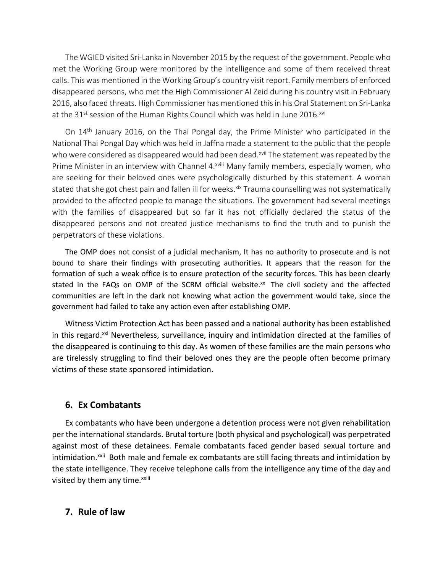The WGIED visited Sri-Lanka in November 2015 by the request of the government. People who met the Working Group were monitored by the intelligence and some of them received threat calls. This was mentioned in the Working Group's country visit report. Family members of enforced disappeared persons, who met the High Commissioner Al Zeid during his country visit in February 2016, also faced threats. High Commissioner has mentioned this in his Oral Statement on Sri-Lanka at the 31<sup>st</sup> session of the Human Rights Council which was held in June 2016.<sup>xvi</sup>

On 14th January 2016, on the Thai Pongal day, the Prime Minister who participated in the National Thai Pongal Day which was held in Jaffna made a statement to the public that the people who were considered as disappeared would had been dead.<sup>xvii</sup> The statement was repeated by the Prime Minister in an interview with Channel 4.<sup>xviii</sup> Many family members, especially women, who are seeking for their beloved ones were psychologically disturbed by this statement. A woman stated that she got chest pain and fallen ill for weeks. Xix Trauma counselling was not systematically provided to the affected people to manage the situations. The government had several meetings with the families of disappeared but so far it has not officially declared the status of the disappeared persons and not created justice mechanisms to find the truth and to punish the perpetrators of these violations.

The OMP does not consist of a judicial mechanism, It has no authority to prosecute and is not bound to share their findings with prosecuting authorities. It appears that the reason for the formation of such a weak office is to ensure protection of the security forces. This has been clearly stated in the FAQs on OMP of the SCRM official website. $^{xx}$  The civil society and the affected communities are left in the dark not knowing what action the government would take, since the government had failed to take any action even after establishing OMP.

Witness Victim Protection Act has been passed and a national authority has been established in this regard.<sup>xxi</sup> Nevertheless, surveillance, inquiry and intimidation directed at the families of the disappeared is continuing to this day. As women of these families are the main persons who are tirelessly struggling to find their beloved ones they are the people often become primary victims of these state sponsored intimidation.

### **6. Ex Combatants**

Ex combatants who have been undergone a detention process were not given rehabilitation per the international standards. Brutal torture (both physical and psychological) was perpetrated against most of these detainees. Female combatants faced gender based sexual torture and intimidation.<sup>xxii</sup> Both male and female ex combatants are still facing threats and intimidation by the state intelligence. They receive telephone calls from the intelligence any time of the day and visited by them any time.<sup>xxiii</sup>

### **7. Rule of law**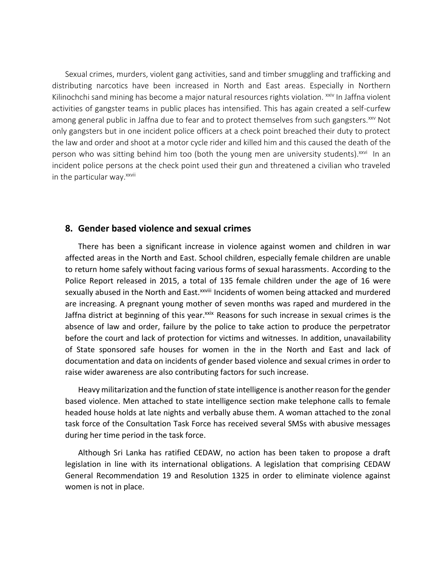Sexual crimes, murders, violent gang activities, sand and timber smuggling and trafficking and distributing narcotics have been increased in North and East areas. Especially in Northern Kilinochchi sand mining has become a major natural resources rights violation. <sup>xxiv</sup> In Jaffna violent activities of gangster teams in public places has intensified. This has again created a self-curfew among general public in Jaffna due to fear and to protect themselves from such gangsters.<sup>xxv</sup> Not only gangsters but in one incident police officers at a check point breached their duty to protect the law and order and shoot at a motor cycle rider and killed him and this caused the death of the person who was sitting behind him too (both the young men are university students).<sup>xxvi</sup> In an incident police persons at the check point used their gun and threatened a civilian who traveled in the particular way.<sup>xxvii</sup>

### **8. Gender based violence and sexual crimes**

There has been a significant increase in violence against women and children in war affected areas in the North and East. School children, especially female children are unable to return home safely without facing various forms of sexual harassments. According to the Police Report released in 2015, a total of 135 female children under the age of 16 were sexually abused in the North and East.<sup>xxviii</sup> Incidents of women being attacked and murdered are increasing. A pregnant young mother of seven months was raped and murdered in the Jaffna district at beginning of this year.<sup>xxix</sup> Reasons for such increase in sexual crimes is the absence of law and order, failure by the police to take action to produce the perpetrator before the court and lack of protection for victims and witnesses. In addition, unavailability of State sponsored safe houses for women in the in the North and East and lack of documentation and data on incidents of gender based violence and sexual crimes in order to raise wider awareness are also contributing factors for such increase.

Heavy militarization and the function of state intelligence is another reason for the gender based violence. Men attached to state intelligence section make telephone calls to female headed house holds at late nights and verbally abuse them. A woman attached to the zonal task force of the Consultation Task Force has received several SMSs with abusive messages during her time period in the task force.

Although Sri Lanka has ratified CEDAW, no action has been taken to propose a draft legislation in line with its international obligations. A legislation that comprising CEDAW General Recommendation 19 and Resolution 1325 in order to eliminate violence against women is not in place.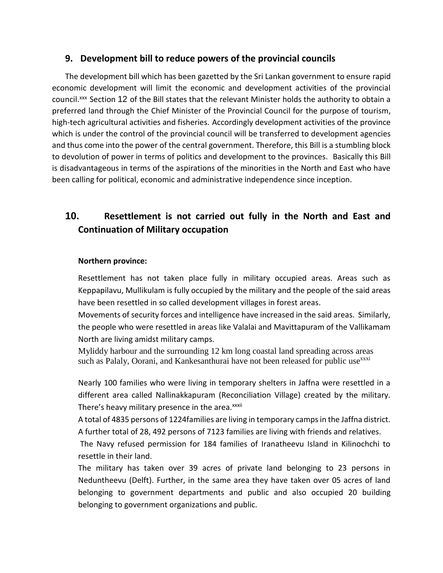## **9. Development bill to reduce powers of the provincial councils**

The development bill which has been gazetted by the Sri Lankan government to ensure rapid economic development will limit the economic and development activities of the provincial council.<sup>xxx</sup> Section 12 of the Bill states that the relevant Minister holds the authority to obtain a preferred land through the Chief Minister of the Provincial Council for the purpose of tourism, high-tech agricultural activities and fisheries. Accordingly development activities of the province which is under the control of the provincial council will be transferred to development agencies and thus come into the power of the central government. Therefore, this Bill is a stumbling block to devolution of power in terms of politics and development to the provinces. Basically this Bill is disadvantageous in terms of the aspirations of the minorities in the North and East who have been calling for political, economic and administrative independence since inception.

# **10. Resettlement is not carried out fully in the North and East and Continuation of Military occupation**

### **Northern province:**

Resettlement has not taken place fully in military occupied areas. Areas such as Keppapilavu, Mullikulam is fully occupied by the military and the people of the said areas have been resettled in so called development villages in forest areas.

Movements of security forces and intelligence have increased in the said areas. Similarly, the people who were resettled in areas like Valalai and Mavittapuram of the Vallikamam North are living amidst military camps.

Myliddy harbour and the surrounding 12 km long coastal land spreading across areas such as Palaly, Oorani, and Kankesanthurai have not been released for public use $x^{xxi}$ 

Nearly 100 families who were living in temporary shelters in Jaffna were resettled in a different area called Nallinakkapuram (Reconciliation Village) created by the military. There's heavy military presence in the area. xxxii

A total of 4835 persons of 1224families are living in temporary camps in the Jaffna district. A further total of 28, 492 persons of 7123 families are living with friends and relatives.

The Navy refused permission for 184 families of Iranatheevu Island in Kilinochchi to resettle in their land.

The military has taken over 39 acres of private land belonging to 23 persons in Neduntheevu (Delft). Further, in the same area they have taken over 05 acres of land belonging to government departments and public and also occupied 20 building belonging to government organizations and public.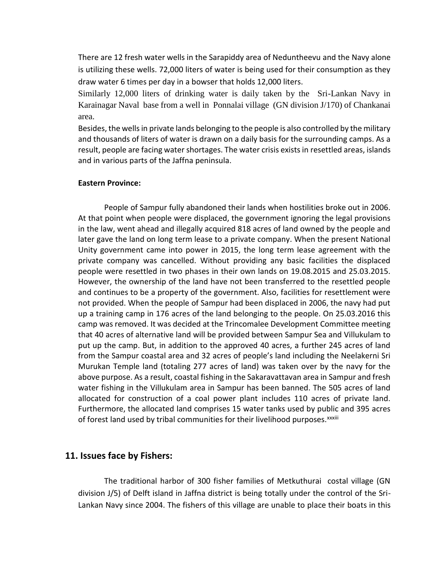There are 12 fresh water wells in the Sarapiddy area of Neduntheevu and the Navy alone is utilizing these wells. 72,000 liters of water is being used for their consumption as they draw water 6 times per day in a bowser that holds 12,000 liters.

Similarly 12,000 liters of drinking water is daily taken by the Sri-Lankan Navy in Karainagar Naval base from a well in Ponnalai village (GN division J/170) of Chankanai area.

Besides, the wells in private lands belonging to the people is also controlled by the military and thousands of liters of water is drawn on a daily basis for the surrounding camps. As a result, people are facing water shortages. The water crisis exists in resettled areas, islands and in various parts of the Jaffna peninsula.

#### **Eastern Province:**

People of Sampur fully abandoned their lands when hostilities broke out in 2006. At that point when people were displaced, the government ignoring the legal provisions in the law, went ahead and illegally acquired 818 acres of land owned by the people and later gave the land on long term lease to a private company. When the present National Unity government came into power in 2015, the long term lease agreement with the private company was cancelled. Without providing any basic facilities the displaced people were resettled in two phases in their own lands on 19.08.2015 and 25.03.2015. However, the ownership of the land have not been transferred to the resettled people and continues to be a property of the government. Also, facilities for resettlement were not provided. When the people of Sampur had been displaced in 2006, the navy had put up a training camp in 176 acres of the land belonging to the people. On 25.03.2016 this camp was removed. It was decided at the Trincomalee Development Committee meeting that 40 acres of alternative land will be provided between Sampur Sea and Villukulam to put up the camp. But, in addition to the approved 40 acres, a further 245 acres of land from the Sampur coastal area and 32 acres of people's land including the Neelakerni Sri Murukan Temple land (totaling 277 acres of land) was taken over by the navy for the above purpose. As a result, coastal fishing in the Sakaravattavan area in Sampur and fresh water fishing in the Villukulam area in Sampur has been banned. The 505 acres of land allocated for construction of a coal power plant includes 110 acres of private land. Furthermore, the allocated land comprises 15 water tanks used by public and 395 acres of forest land used by tribal communities for their livelihood purposes.<sup>xxxiii</sup>

### **11. Issues face by Fishers:**

The traditional harbor of 300 fisher families of Metkuthurai costal village (GN division J/5) of Delft island in Jaffna district is being totally under the control of the Sri-Lankan Navy since 2004. The fishers of this village are unable to place their boats in this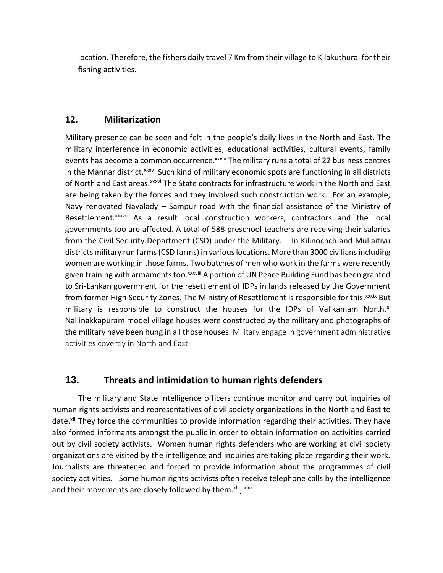location. Therefore, the fishers daily travel 7 Km from their village to Kilakuthurai for their fishing activities.

## **12. Militarization**

Military presence can be seen and felt in the people's daily lives in the North and East. The military interference in economic activities, educational activities, cultural events, family events has become a common occurrence.<sup>xxxiv</sup> The military runs a total of 22 business centres in the Mannar district.<sup>xxxv</sup> Such kind of military economic spots are functioning in all districts of North and East areas. xxxvi The State contracts for infrastructure work in the North and East are being taken by the forces and they involved such construction work. For an example, Navy renovated Navalady – Sampur road with the financial assistance of the Ministry of Resettlement.<sup>xxxvii</sup> As a result local construction workers, contractors and the local governments too are affected. A total of 588 preschool teachers are receiving their salaries from the Civil Security Department (CSD) under the Military. In Kilinochch and Mullaitivu districts military run farms (CSD farms) in various locations. More than 3000 civilians including women are working in those farms. Two batches of men who work in the farms were recently given training with armaments too. xxxviii A portion of UN Peace Building Fund has been granted to Sri-Lankan government for the resettlement of IDPs in lands released by the Government from former High Security Zones. The Ministry of Resettlement is responsible for this. XXXIX But military is responsible to construct the houses for the IDPs of Valikamam North.<sup>xl</sup> Nallinakkapuram model village houses were constructed by the military and photographs of the military have been hung in all those houses. Military engage in government administrative activities covertly in North and East.

## **13. Threats and intimidation to human rights defenders**

The military and State intelligence officers continue monitor and carry out inquiries of human rights activists and representatives of civil society organizations in the North and East to date.<sup>xli</sup> They force the communities to provide information regarding their activities. They have also formed informants amongst the public in order to obtain information on activities carried out by civil society activists. Women human rights defenders who are working at civil society organizations are visited by the intelligence and inquiries are taking place regarding their work. Journalists are threatened and forced to provide information about the programmes of civil society activities. Some human rights activists often receive telephone calls by the intelligence and their movements are closely followed by them.<sup>xlii</sup>, <sup>xliii</sup>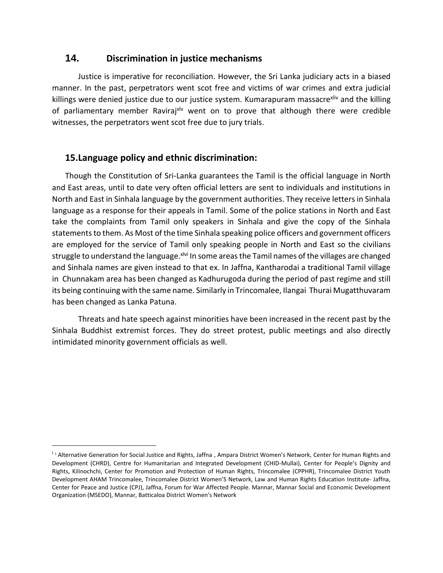## **14. Discrimination in justice mechanisms**

Justice is imperative for reconciliation. However, the Sri Lanka judiciary acts in a biased manner. In the past, perpetrators went scot free and victims of war crimes and extra judicial killings were denied justice due to our justice system. Kumarapuram massacre<sup>xliv</sup> and the killing of parliamentary member Ravirajxlv went on to prove that although there were credible witnesses, the perpetrators went scot free due to jury trials.

## **15.Language policy and ethnic discrimination:**

 $\overline{\phantom{a}}$ 

Though the Constitution of Sri-Lanka guarantees the Tamil is the official language in North and East areas, until to date very often official letters are sent to individuals and institutions in North and East in Sinhala language by the government authorities. They receive letters in Sinhala language as a response for their appeals in Tamil. Some of the police stations in North and East take the complaints from Tamil only speakers in Sinhala and give the copy of the Sinhala statements to them. As Most of the time Sinhala speaking police officers and government officers are employed for the service of Tamil only speaking people in North and East so the civilians struggle to understand the language. XIVI In some areas the Tamil names of the villages are changed and Sinhala names are given instead to that ex. In Jaffna, Kantharodai a traditional Tamil village in Chunnakam area has been changed as Kadhurugoda during the period of past regime and still its being continuing with the same name. Similarly in Trincomalee, Ilangai Thurai Mugatthuvaram has been changed as Lanka Patuna.

Threats and hate speech against minorities have been increased in the recent past by the Sinhala Buddhist extremist forces. They do street protest, public meetings and also directly intimidated minority government officials as well.

<sup>&</sup>lt;sup>i</sup> i Alternative Generation for Social Justice and Rights, Jaffna, Ampara District Women's Network, Center for Human Rights and Development (CHRD), Centre for Humanitarian and Integrated Development (CHID-Mullai), Center for People's Dignity and Rights, Kilinochchi, Center for Promotion and Protection of Human Rights, Trincomalee (CPPHR), Trincomalee District Youth Development AHAM Trincomalee, Trincomalee District Women'S Network, Law and Human Rights Education Institute- Jaffna, Center for Peace and Justice (CPJ), Jaffna, Forum for War Affected People. Mannar, Mannar Social and Economic Development Organization (MSEDO), Mannar, Batticaloa District Women's Network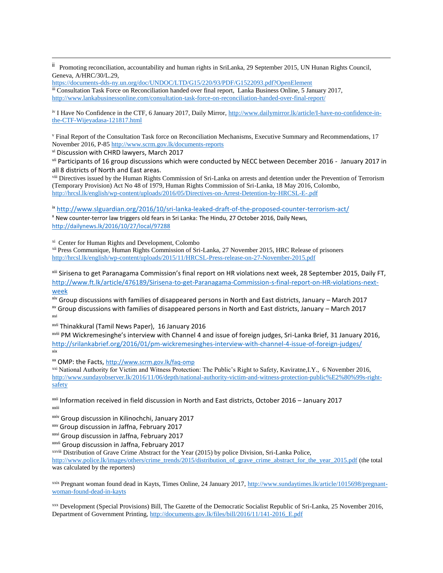ii Promoting reconciliation, accountability and human rights in SriLanka, 29 September 2015, UN Hunan Rights Council, Geneva, A/HRC/30/L.29,

<https://documents-dds-ny.un.org/doc/UNDOC/LTD/G15/220/93/PDF/G1522093.pdf?OpenElement> iii Consultation Task Force on Reconciliation handed over final report, Lanka Business Online, 5 January 2017, <http://www.lankabusinessonline.com/consultation-task-force-on-reconciliation-handed-over-final-report/>

iv I Have No Confidence in the CTF, 6 January 2017, Daily Mirror, [http://www.dailymirror.lk/article/I-have-no-confidence-in](http://www.dailymirror.lk/article/I-have-no-confidence-in-the-CTF-Wijeyadasa-121817.html)[the-CTF-Wijeyadasa-121817.html](http://www.dailymirror.lk/article/I-have-no-confidence-in-the-CTF-Wijeyadasa-121817.html)

<sup>v</sup> Final Report of the Consultation Task force on Reconciliation Mechanisms, Executive Summary and Recommendations, 17 November 2016, P-85<http://www.scrm.gov.lk/documents-reports>

vi Discussion with CHRD lawyers, March 2017

 $\overline{a}$ 

vii Participants of 16 group discussions which were conducted by NECC between December 2016 - January 2017 in all 8 districts of North and East areas.

viii Directives issued by the Human Rights Commission of Sri-Lanka on arrests and detention under the Prevention of Terrorism (Temporary Provision) Act No 48 of 1979, Human Rights Commission of Sri-Lanka, 18 May 2016, Colombo, <http://hrcsl.lk/english/wp-content/uploads/2016/05/Directives-on-Arrest-Detention-by-HRCSL-E-.pdf>

ix <http://www.slguardian.org/2016/10/sri-lanka-leaked-draft-of-the-proposed-counter-terrorism-act/>

<sup>x</sup> New counter-terror law triggers old fears in Sri Lanka: The Hindu, 27 October 2016, Daily News, <http://dailynews.lk/2016/10/27/local/97288>

xi Center for Human Rights and Development, Colombo

xii Press Communique, Human Rights Commission of Sri-Lanka, 27 November 2015, HRC Release of prisoners <http://hrcsl.lk/english/wp-content/uploads/2015/11/HRCSL-Press-release-on-27-November-2015.pdf>

xiii Sirisena to get Paranagama Commission's final report on HR violations next week, 28 September 2015, Daily FT, [http://www.ft.lk/article/476189/Sirisena-to-get-Paranagama-Commission-s-final-report-on-HR-violations-next](http://www.ft.lk/article/476189/Sirisena-to-get-Paranagama-Commission-s-final-report-on-HR-violations-next-week)[week](http://www.ft.lk/article/476189/Sirisena-to-get-Paranagama-Commission-s-final-report-on-HR-violations-next-week)

xiv Group discussions with families of disappeared persons in North and East districts, January – March 2017 xv Group discussions with families of disappeared persons in North and East districts, January – March 2017 xvi

xvii Thinakkural (Tamil News Paper), 16 January 2016

xviii PM Wickremesinghe's interview with Channel 4 and issue of foreign judges, Sri-Lanka Brief, 31 January 2016, <http://srilankabrief.org/2016/01/pm-wickremesinghes-interview-with-channel-4-issue-of-foreign-judges/> xix

xx OMP: the Facts, <http://www.scrm.gov.lk/faq-omp>

xxi National Authority for Victim and Witness Protection: The Public's Right to Safety, Kaviratne,I.Y., 6 November 2016, [http://www.sundayobserver.lk/2016/11/06/depth/national-authority-victim-and-witness-protection-public%E2%80%99s-right](http://www.sundayobserver.lk/2016/11/06/depth/national-authority-victim-and-witness-protection-public%E2%80%99s-right-safety)[safety](http://www.sundayobserver.lk/2016/11/06/depth/national-authority-victim-and-witness-protection-public%E2%80%99s-right-safety)

xxii Information received in field discussion in North and East districts, October 2016 – January 2017 xxiii

xxiv Group discussion in Kilinochchi, January 2017

xxv Group discussion in Jaffna, February 2017

xxvi Group discussion in Jaffna, February 2017

xxvii Group discussion in Jaffna, February 2017

xxviii Distribution of Grave Crime Abstract for the Year (2015) by police Division, Sri-Lanka Police,

[http://www.police.lk/images/others/crime\\_trends/2015/distribution\\_of\\_grave\\_crime\\_abstract\\_for\\_the\\_year\\_2015.pdf](http://www.police.lk/images/others/crime_trends/2015/distribution_of_grave_crime_abstract_for_the_year_2015.pdf) (the total was calculated by the reporters)

xxix Pregnant woman found dead in Kayts, Times Online, 24 January 2017, [http://www.sundaytimes.lk/article/1015698/pregnant](http://www.sundaytimes.lk/article/1015698/pregnant-woman-found-dead-in-kayts)[woman-found-dead-in-kayts](http://www.sundaytimes.lk/article/1015698/pregnant-woman-found-dead-in-kayts)

xxx Development (Special Provisions) Bill, The Gazette of the Democratic Socialist Republic of Sri-Lanka, 25 November 2016, Department of Government Printing, [http://documents.gov.lk/files/bill/2016/11/141-2016\\_E.pdf](http://documents.gov.lk/files/bill/2016/11/141-2016_E.pdf)